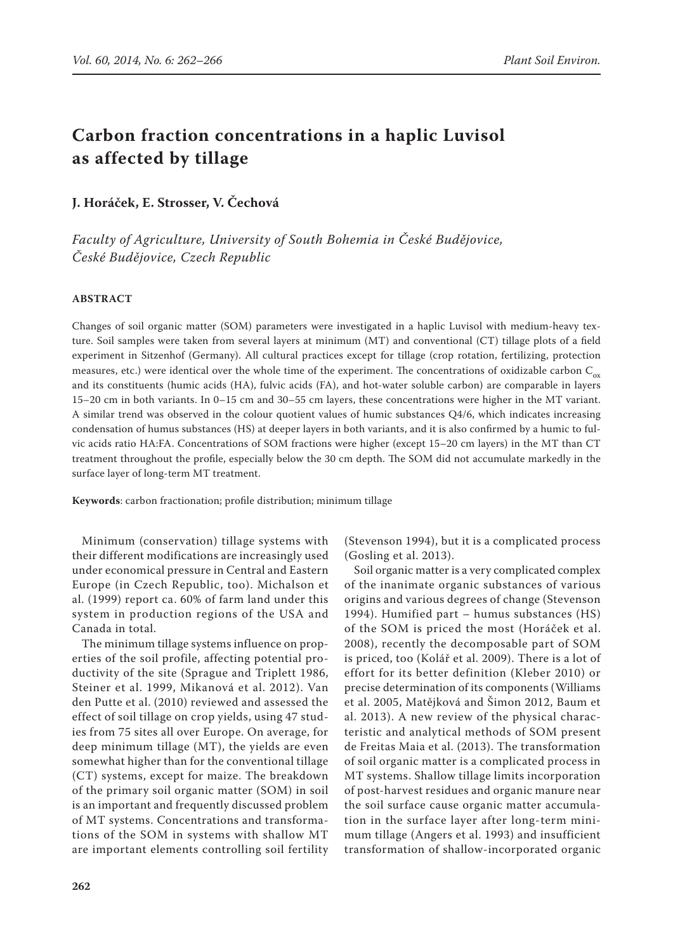# **Carbon fraction concentrations in a haplic Luvisol as affected by tillage**

**J. Horáček, E. Strosser, V. Čechová**

*Faculty of Agriculture, University of South Bohemia in České Budějovice, České Budějovice, Czech Republic*

#### **ABSTRACT**

Changes of soil organic matter (SOM) parameters were investigated in a haplic Luvisol with medium-heavy texture. Soil samples were taken from several layers at minimum (MT) and conventional (CT) tillage plots of a field experiment in Sitzenhof (Germany). All cultural practices except for tillage (crop rotation, fertilizing, protection measures, etc.) were identical over the whole time of the experiment. The concentrations of oxidizable carbon  $C_{ox}$ and its constituents (humic acids (HA), fulvic acids (FA), and hot-water soluble carbon) are comparable in layers 15–20 cm in both variants. In 0–15 cm and 30–55 cm layers, these concentrations were higher in the MT variant. A similar trend was observed in the colour quotient values of humic substances Q4/6, which indicates increasing condensation of humus substances (HS) at deeper layers in both variants, and it is also confirmed by a humic to fulvic acids ratio HA:FA. Concentrations of SOM fractions were higher (except 15–20 cm layers) in the MT than CT treatment throughout the profile, especially below the 30 cm depth. The SOM did not accumulate markedly in the surface layer of long-term MT treatment.

**Keywords**: carbon fractionation; profile distribution; minimum tillage

Minimum (conservation) tillage systems with their different modifications are increasingly used under economical pressure in Central and Eastern Europe (in Czech Republic, too). Michalson et al. (1999) report ca. 60% of farm land under this system in production regions of the USA and Canada in total.

The minimum tillage systems influence on properties of the soil profile, affecting potential productivity of the site (Sprague and Triplett 1986, Steiner et al. 1999, Mikanová et al. 2012). Van den Putte et al. (2010) reviewed and assessed the effect of soil tillage on crop yields, using 47 studies from 75 sites all over Europe. On average, for deep minimum tillage (MT), the yields are even somewhat higher than for the conventional tillage (CT) systems, except for maize. The breakdown of the primary soil organic matter (SOM) in soil is an important and frequently discussed problem of MT systems. Concentrations and transformations of the SOM in systems with shallow MT are important elements controlling soil fertility (Stevenson 1994), but it is a complicated process (Gosling et al. 2013).

Soil organic matter is a very complicated complex of the inanimate organic substances of various origins and various degrees of change (Stevenson 1994). Humified part – humus substances (HS) of the SOM is priced the most (Horáček et al. 2008), recently the decomposable part of SOM is priced, too (Kolář et al. 2009). There is a lot of effort for its better definition (Kleber 2010) or precise determination of its components (Williams et al. 2005, Matějková and Šimon 2012, Baum et al. 2013). A new review of the physical characteristic and analytical methods of SOM present de Freitas Maia et al. (2013). The transformation of soil organic matter is a complicated process in MT systems. Shallow tillage limits incorporation of post-harvest residues and organic manure near the soil surface cause organic matter accumulation in the surface layer after long-term minimum tillage (Angers et al. 1993) and insufficient transformation of shallow-incorporated organic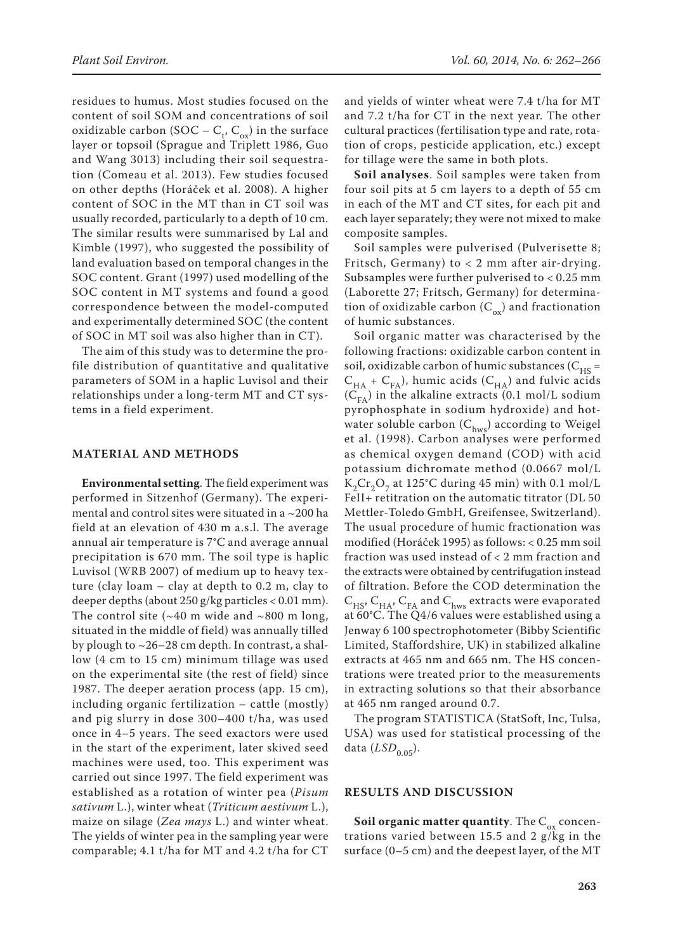residues to humus. Most studies focused on the content of soil SOM and concentrations of soil oxidizable carbon (SOC –  $C_t$ ,  $C_{ox}$ ) in the surface layer or topsoil (Sprague and Triplett 1986, Guo and Wang 3013) including their soil sequestration (Comeau et al. 2013). Few studies focused on other depths (Horáček et al. 2008). A higher content of SOC in the MT than in CT soil was usually recorded, particularly to a depth of 10 cm. The similar results were summarised by Lal and Kimble (1997), who suggested the possibility of land evaluation based on temporal changes in the SOC content. Grant (1997) used modelling of the SOC content in MT systems and found a good correspondence between the model-computed and experimentally determined SOC (the content of SOC in MT soil was also higher than in CT).

The aim of this study was to determine the profile distribution of quantitative and qualitative parameters of SOM in a haplic Luvisol and their relationships under a long-term MT and CT systems in a field experiment.

## **MATERIAL AND METHODS**

**Environmental setting**. The field experiment was performed in Sitzenhof (Germany). The experimental and control sites were situated in a ~200 ha field at an elevation of 430 m a.s.l. The average annual air temperature is 7°C and average annual precipitation is 670 mm. The soil type is haplic Luvisol (WRB 2007) of medium up to heavy texture (clay loam – clay at depth to 0.2 m, clay to deeper depths (about  $250$  g/kg particles < 0.01 mm). The control site  $({\sim}40 \text{ m}$  wide and  ${\sim}800 \text{ m}$  long, situated in the middle of field) was annually tilled by plough to  $\sim$  26–28 cm depth. In contrast, a shallow (4 cm to 15 cm) minimum tillage was used on the experimental site (the rest of field) since 1987. The deeper aeration process (app. 15 cm), including organic fertilization – cattle (mostly) and pig slurry in dose 300–400 t/ha, was used once in 4–5 years. The seed exactors were used in the start of the experiment, later skived seed machines were used, too. This experiment was carried out since 1997. The field experiment was established as a rotation of winter pea (*Pisum sativum* L.), winter wheat (*Triticum aestivum* L.), maize on silage (*Zea mays* L.) and winter wheat. The yields of winter pea in the sampling year were comparable; 4.1 t/ha for MT and 4.2 t/ha for CT

and yields of winter wheat were 7.4 t/ha for MT and 7.2 t/ha for CT in the next year. The other cultural practices (fertilisation type and rate, rotation of crops, pesticide application, etc.) except for tillage were the same in both plots.

**Soil analyses**. Soil samples were taken from four soil pits at 5 cm layers to a depth of 55 cm in each of the MT and CT sites, for each pit and each layer separately; they were not mixed to make composite samples.

Soil samples were pulverised (Pulverisette 8; Fritsch, Germany) to < 2 mm after air-drying. Subsamples were further pulverised to < 0.25 mm (Laborette 27; Fritsch, Germany) for determination of oxidizable carbon  $(C_{ox})$  and fractionation of humic substances.

Soil organic matter was characterised by the following fractions: oxidizable carbon content in soil, oxidizable carbon of humic substances ( $C_{HS}$  =  $C_{HA}$  +  $C_{FA}$ ), humic acids ( $C_{HA}$ ) and fulvic acids  $(C_{FA})$  in the alkaline extracts (0.1 mol/L sodium pyrophosphate in sodium hydroxide) and hotwater soluble carbon  $(C_{\text{hws}})$  according to Weigel et al. (1998). Carbon analyses were performed as chemical oxygen demand (COD) with acid potassium dichromate method (0.0667 mol/L  $K_2Cr_2O_7$  at 125°C during 45 min) with 0.1 mol/L FeII+ retitration on the automatic titrator (DL 50 Mettler-Toledo GmbH, Greifensee, Switzerland). The usual procedure of humic fractionation was modified (Horáček 1995) as follows: < 0.25 mm soil fraction was used instead of < 2 mm fraction and the extracts were obtained by centrifugation instead of filtration. Before the COD determination the  $C_{HS}$ ,  $C_{HA}$ ,  $C_{FA}$  and  $C_{hws}$  extracts were evaporated at 60°C. The Q4/6 values were established using a Jenway 6 100 spectrophotometer (Bibby Scientific Limited, Staffordshire, UK) in stabilized alkaline extracts at 465 nm and 665 nm. The HS concentrations were treated prior to the measurements in extracting solutions so that their absorbance at 465 nm ranged around 0.7.

The program STATISTICA (StatSoft, Inc, Tulsa, USA) was used for statistical processing of the data (*LSD*<sub>0.05</sub>).

### **RESULTS AND DISCUSSION**

**Soil organic matter quantity.** The  $C_{ox}$  concentrations varied between 15.5 and 2 g/kg in the surface (0–5 cm) and the deepest layer, of the MT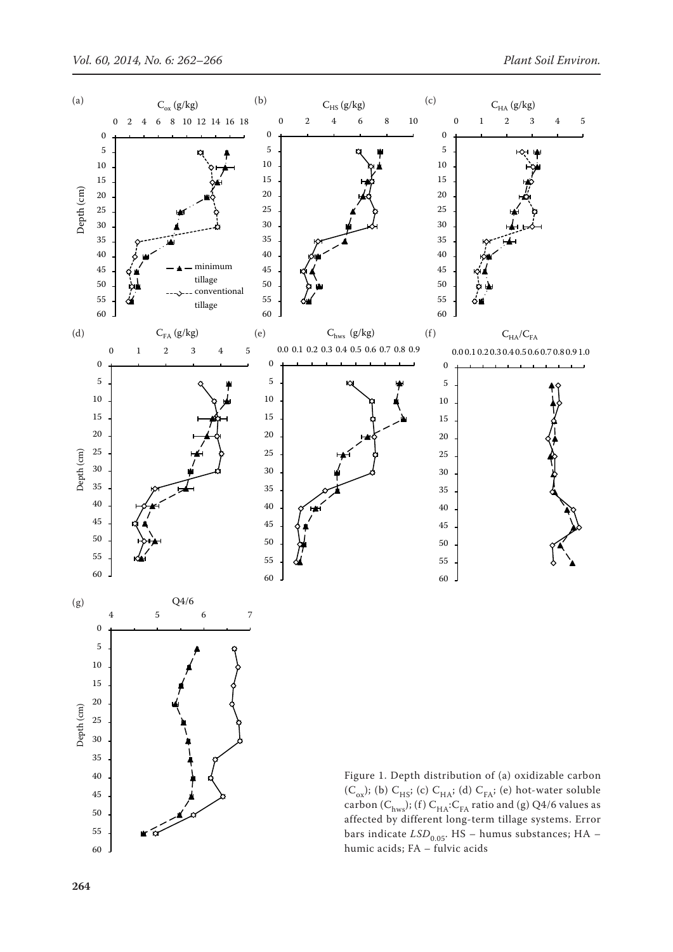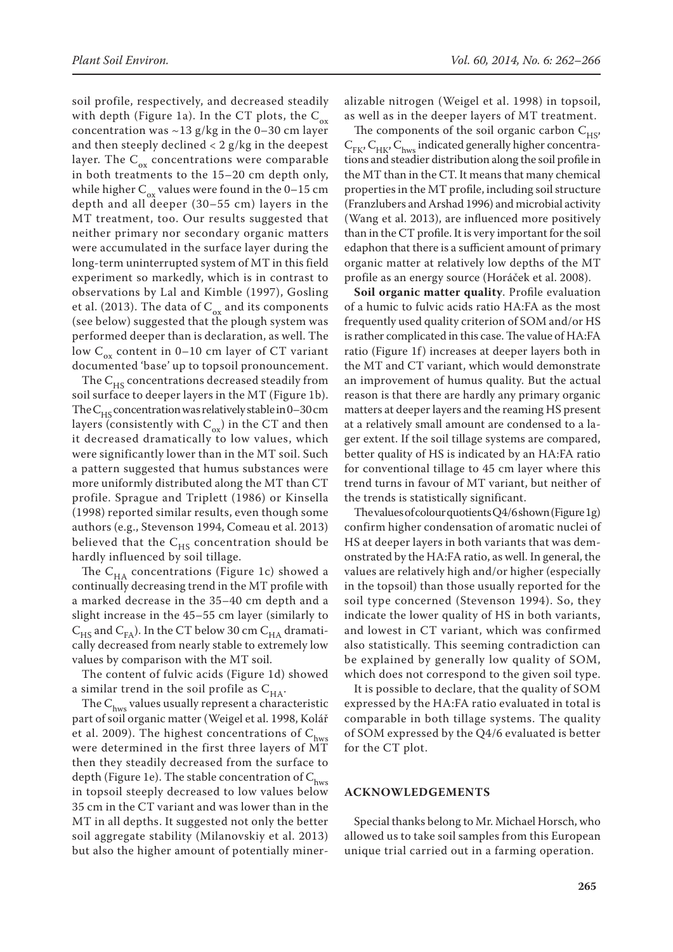soil profile, respectively, and decreased steadily with depth (Figure 1a). In the CT plots, the  $C_{ox}$ concentration was  $\sim$ 13 g/kg in the 0–30 cm layer and then steeply declined  $<$  2 g/kg in the deepest layer. The  $C_{ox}$  concentrations were comparable in both treatments to the 15–20 cm depth only, while higher  $C_{ox}$  values were found in the 0–15 cm depth and all deeper (30–55 cm) layers in the MT treatment, too. Our results suggested that neither primary nor secondary organic matters were accumulated in the surface layer during the long-term uninterrupted system of MT in this field experiment so markedly, which is in contrast to observations by Lal and Kimble (1997), Gosling et al. (2013). The data of  $C_{ox}$  and its components (see below) suggested that the plough system was performed deeper than is declaration, as well. The low  $C_{\alpha x}$  content in 0–10 cm layer of CT variant documented 'base' up to topsoil pronouncement.

The  $C_{HS}$  concentrations decreased steadily from soil surface to deeper layers in the MT (Figure 1b). The  $C_{HS}$  concentration was relatively stable in 0–30 cm layers (consistently with  $C_{ox}$ ) in the CT and then it decreased dramatically to low values, which were significantly lower than in the MT soil. Such a pattern suggested that humus substances were more uniformly distributed along the MT than CT profile. Sprague and Triplett (1986) or Kinsella (1998) reported similar results, even though some authors (e.g., Stevenson 1994, Comeau et al. 2013) believed that the  $C_{HS}$  concentration should be hardly influenced by soil tillage.

The  $C_{HA}$  concentrations (Figure 1c) showed a continually decreasing trend in the MT profile with a marked decrease in the 35–40 cm depth and a slight increase in the 45–55 cm layer (similarly to  $\text{C}_{\text{HS}}$  and  $\text{C}_{\text{FA}}$  ). In the CT below 30 cm  $\text{C}_{\text{HA}}$  dramatically decreased from nearly stable to extremely low values by comparison with the MT soil.

The content of fulvic acids (Figure 1d) showed a similar trend in the soil profile as  $C_{HA}$ .

The  $C_{\text{hws}}$  values usually represent a characteristic part of soil organic matter (Weigel et al. 1998, Kolář et al. 2009). The highest concentrations of  $C_{\text{hws}}$ were determined in the first three layers of MT then they steadily decreased from the surface to depth (Figure 1e). The stable concentration of  $C_{\text{hws}}$ in topsoil steeply decreased to low values below 35 cm in the CT variant and was lower than in the MT in all depths. It suggested not only the better soil aggregate stability (Milanovskiy et al. 2013) but also the higher amount of potentially miner-

alizable nitrogen (Weigel et al. 1998) in topsoil, as well as in the deeper layers of MT treatment.

The components of the soil organic carbon  $C_{H<sub>S</sub>}$ ,  $C_{FK}$ ,  $C_{HK}$ ,  $C_{hws}$  indicated generally higher concentrations and steadier distribution along the soil profile in the MT than in the CT. It means that many chemical properties in the MT profile, including soil structure (Franzlubers and Arshad 1996) and microbial activity (Wang et al. 2013), are influenced more positively than in the CT profile. It is very important for the soil edaphon that there is a sufficient amount of primary organic matter at relatively low depths of the MT profile as an energy source (Horáček et al. 2008).

**Soil organic matter quality**. Profile evaluation of a humic to fulvic acids ratio HA:FA as the most frequently used quality criterion of SOM and/or HS is rather complicated in this case. The value of HA:FA ratio (Figure 1f) increases at deeper layers both in the MT and CT variant, which would demonstrate an improvement of humus quality. But the actual reason is that there are hardly any primary organic matters at deeper layers and the reaming HS present at a relatively small amount are condensed to a lager extent. If the soil tillage systems are compared, better quality of HS is indicated by an HA:FA ratio for conventional tillage to 45 cm layer where this trend turns in favour of MT variant, but neither of the trends is statistically significant.

The values of colour quotients Q4/6 shown (Figure 1g) confirm higher condensation of aromatic nuclei of HS at deeper layers in both variants that was demonstrated by the HA:FA ratio, as well. In general, the values are relatively high and/or higher (especially in the topsoil) than those usually reported for the soil type concerned (Stevenson 1994). So, they indicate the lower quality of HS in both variants, and lowest in CT variant, which was confirmed also statistically. This seeming contradiction can be explained by generally low quality of SOM, which does not correspond to the given soil type.

It is possible to declare, that the quality of SOM expressed by the HA:FA ratio evaluated in total is comparable in both tillage systems. The quality of SOM expressed by the Q4/6 evaluated is better for the CT plot.

# **ACKNOWLEDGEMENTS**

Special thanks belong to Mr. Michael Horsch, who allowed us to take soil samples from this European unique trial carried out in a farming operation.